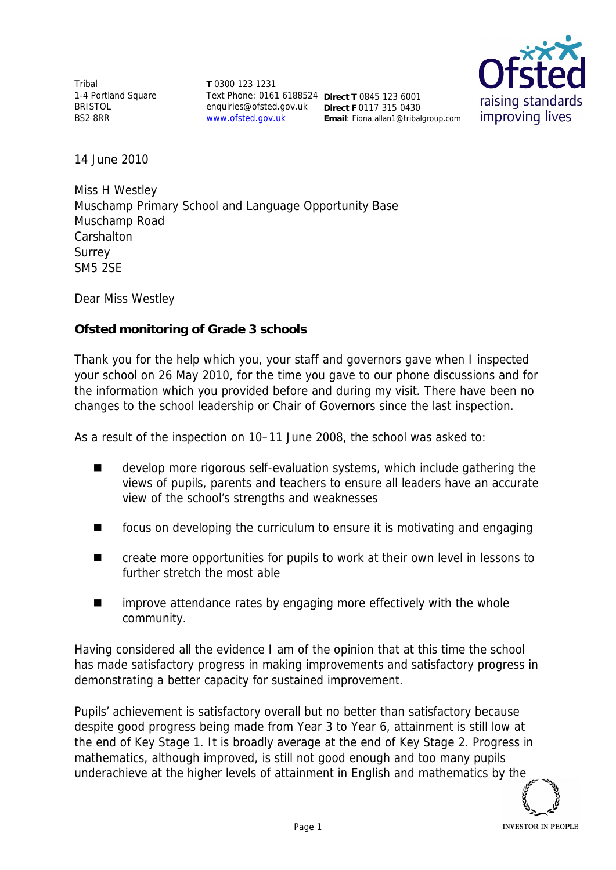Tribal 1-4 Portland Square BRISTOL BS2 8RR

**T** 0300 123 1231 Text Phone: 0161 6188524 **Direct T** 0845 123 6001 enquiries@ofsted.gov.uk **Direct F** 0117 315 0430 www.ofsted.gov.uk

**Email**: Fiona.allan1@tribalgroup.com



14 June 2010

Miss H Westley Muschamp Primary School and Language Opportunity Base Muschamp Road **Carshalton** Surrey SM5 2SE

Dear Miss Westley

**Ofsted monitoring of Grade 3 schools**

Thank you for the help which you, your staff and governors gave when I inspected your school on 26 May 2010*,* for the time you gave to our phone discussions and for the information which you provided before and during my visit*.* There have been no changes to the school leadership or Chair of Governors since the last inspection.

As a result of the inspection on 10–11 June 2008, the school was asked to:

- develop more rigorous self-evaluation systems, which include gathering the views of pupils, parents and teachers to ensure all leaders have an accurate view of the school's strengths and weaknesses
- focus on developing the curriculum to ensure it is motivating and engaging
- create more opportunities for pupils to work at their own level in lessons to further stretch the most able
- $\blacksquare$  improve attendance rates by engaging more effectively with the whole community.

Having considered all the evidence I am of the opinion that at this time the school has made satisfactory progress in making improvements and satisfactory progress in demonstrating a better capacity for sustained improvement.

Pupils' achievement is satisfactory overall but no better than satisfactory because despite good progress being made from Year 3 to Year 6, attainment is still low at the end of Key Stage 1. It is broadly average at the end of Key Stage 2. Progress in mathematics, although improved, is still not good enough and too many pupils underachieve at the higher levels of attainment in English and mathematics by the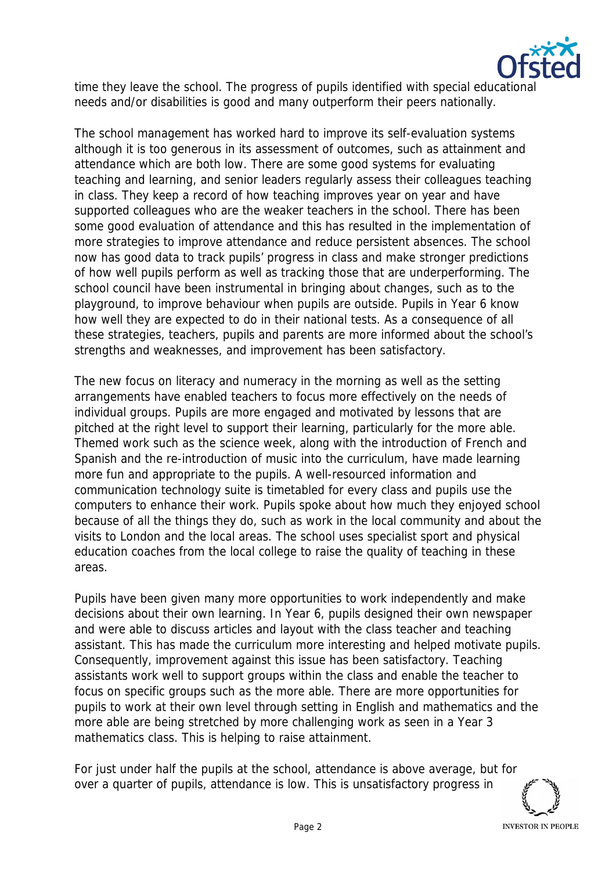

time they leave the school. The progress of pupils identified with special educational needs and/or disabilities is good and many outperform their peers nationally.

The school management has worked hard to improve its self-evaluation systems although it is too generous in its assessment of outcomes, such as attainment and attendance which are both low. There are some good systems for evaluating teaching and learning, and senior leaders regularly assess their colleagues teaching in class. They keep a record of how teaching improves year on year and have supported colleagues who are the weaker teachers in the school. There has been some good evaluation of attendance and this has resulted in the implementation of more strategies to improve attendance and reduce persistent absences. The school now has good data to track pupils' progress in class and make stronger predictions of how well pupils perform as well as tracking those that are underperforming. The school council have been instrumental in bringing about changes, such as to the playground, to improve behaviour when pupils are outside. Pupils in Year 6 know how well they are expected to do in their national tests. As a consequence of all these strategies, teachers, pupils and parents are more informed about the school's strengths and weaknesses, and improvement has been satisfactory.

The new focus on literacy and numeracy in the morning as well as the setting arrangements have enabled teachers to focus more effectively on the needs of individual groups. Pupils are more engaged and motivated by lessons that are pitched at the right level to support their learning, particularly for the more able. Themed work such as the science week, along with the introduction of French and Spanish and the re-introduction of music into the curriculum, have made learning more fun and appropriate to the pupils. A well-resourced information and communication technology suite is timetabled for every class and pupils use the computers to enhance their work. Pupils spoke about how much they enjoyed school because of all the things they do, such as work in the local community and about the visits to London and the local areas. The school uses specialist sport and physical education coaches from the local college to raise the quality of teaching in these areas.

Pupils have been given many more opportunities to work independently and make decisions about their own learning. In Year 6, pupils designed their own newspaper and were able to discuss articles and layout with the class teacher and teaching assistant. This has made the curriculum more interesting and helped motivate pupils. Consequently, improvement against this issue has been satisfactory. Teaching assistants work well to support groups within the class and enable the teacher to focus on specific groups such as the more able. There are more opportunities for pupils to work at their own level through setting in English and mathematics and the more able are being stretched by more challenging work as seen in a Year 3 mathematics class. This is helping to raise attainment.

For just under half the pupils at the school, attendance is above average, but for over a quarter of pupils, attendance is low. This is unsatisfactory progress in